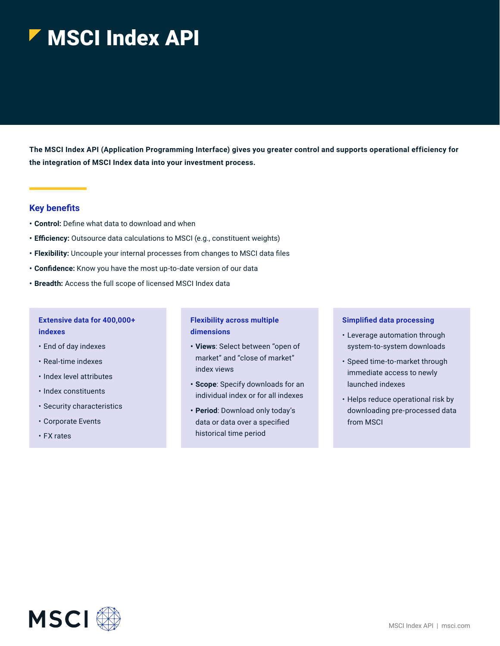# MSCI Index API

**The MSCI Index API (Application Programming Interface) gives you greater control and supports operational efficiency for the integration of MSCI Index data into your investment process.**

## **Key benefits**

- **• Control:** Define what data to download and when
- **• Efficiency:** Outsource data calculations to MSCI (e.g., constituent weights)
- **• Flexibility:** Uncouple your internal processes from changes to MSCI data files
- **• Confidence:** Know you have the most up-to-date version of our data
- **• Breadth:** Access the full scope of licensed MSCI Index data

## **Extensive data for 400,000+ indexes**

- End of day indexes
- Real-time indexes
- Index level attributes
- Index constituents
- Security characteristics
- Corporate Events
- FX rates

## **Flexibility across multiple dimensions**

- **• Views**: Select between "open of market" and "close of market" index views
- **• Scope**: Specify downloads for an individual index or for all indexes
- **• Period**: Download only today's data or data over a specified historical time period

#### **Simplified data processing**

- Leverage automation through system-to-system downloads
- Speed time-to-market through immediate access to newly launched indexes
- Helps reduce operational risk by downloading pre-processed data from MSCI